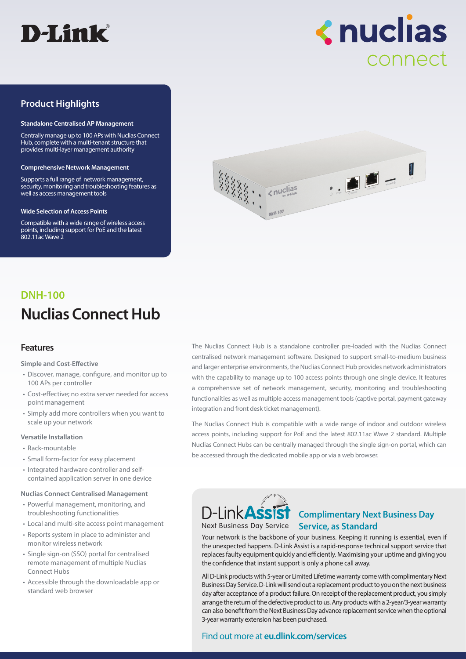

**<nuclias** connect

# **Product Highlights**

#### **Standalone Centralised AP Management**

Centrally manage up to 100 APs with Nuclias Connect Hub, complete with a multi-tenant structure that provides multi-layer management authority

#### **Comprehensive Network Management**

Supports a full range of network management, security, monitoring and troubleshooting features as well as access management tools

#### **Wide Selection of Access Points**

Compatible with a wide range of wireless access points, including support for PoE and the latest 802.11ac Wave 2



# **Nuclias Connect Hub DNH-100**

#### **Features**

**Simple and Cost-Effective**

- Discover, manage, configure, and monitor up to 100 APs per controller
- Cost-effective; no extra server needed for access point management
- Simply add more controllers when you want to scale up your network

#### **Versatile Installation**

- Rack-mountable
- Small form-factor for easy placement
- Integrated hardware controller and selfcontained application server in one device

#### **Nuclias Connect Centralised Management**

- Powerful management, monitoring, and troubleshooting functionalities
- Local and multi-site access point management
- Reports system in place to administer and monitor wireless network
- Single sign-on (SSO) portal for centralised remote management of multiple Nuclias Connect Hubs
- Accessible through the downloadable app or standard web browser

The Nuclias Connect Hub is a standalone controller pre-loaded with the Nuclias Connect centralised network management software. Designed to support small-to-medium business and larger enterprise environments, the Nuclias Connect Hub provides network administrators with the capability to manage up to 100 access points through one single device. It features a comprehensive set of network management, security, monitoring and troubleshooting functionalities as well as multiple access management tools (captive portal, payment gateway integration and front desk ticket management).

The Nuclias Connect Hub is compatible with a wide range of indoor and outdoor wireless access points, including support for PoE and the latest 802.11ac Wave 2 standard. Multiple Nuclias Connect Hubs can be centrally managed through the single sign-on portal, which can be accessed through the dedicated mobile app or via a web browser.



## **Complimentary Next Business Day**  Next Business Day Service **Service, as Standard**

Your network is the backbone of your business. Keeping it running is essential, even if the unexpected happens. D-Link Assist is a rapid-response technical support service that replaces faulty equipment quickly and efficiently. Maximising your uptime and giving you the confidence that instant support is only a phone call away.

All D-Link products with 5-year or Limited Lifetime warranty come with complimentary Next Business Day Service. D-Link will send out a replacement product to you on the next business day after acceptance of a product failure. On receipt of the replacement product, you simply arrange the return of the defective product to us. Any products with a 2-year/3-year warranty can also benefit from the Next Business Day advance replacement service when the optional 3-year warranty extension has been purchased.

#### Find out more at **eu.dlink.com/services**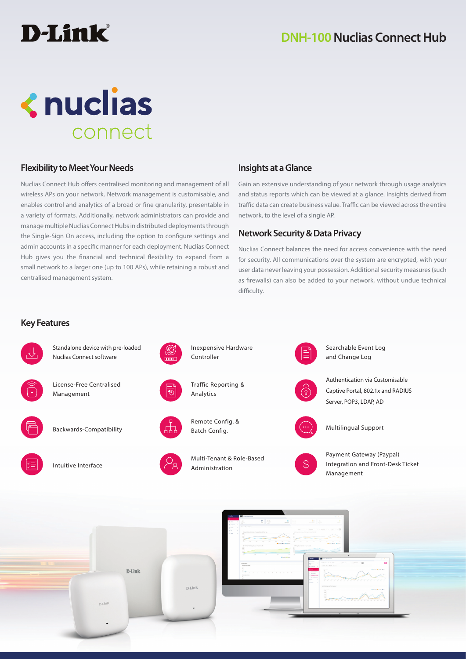# **<nuclias** connect

# **Flexibility to Meet Your Needs**

Nuclias Connect Hub offers centralised monitoring and management of all wireless APs on your network. Network management is customisable, and enables control and analytics of a broad or fine granularity, presentable in a variety of formats. Additionally, network administrators can provide and manage multiple Nuclias Connect Hubs in distributed deployments through the Single-Sign On access, including the option to configure settings and admin accounts in a specific manner for each deployment. Nuclias Connect Hub gives you the financial and technical flexibility to expand from a small network to a larger one (up to 100 APs), while retaining a robust and centralised management system.

# **Insights at a Glance**

Gain an extensive understanding of your network through usage analytics and status reports which can be viewed at a glance. Insights derived from traffic data can create business value. Traffic can be viewed across the entire network, to the level of a single AP.

## **Network Security & Data Privacy**

Nuclias Connect balances the need for access convenience with the need for security. All communications over the system are encrypted, with your user data never leaving your possession. Additional security measures (such as firewalls) can also be added to your network, without undue technical difficulty.

## **Key Features**

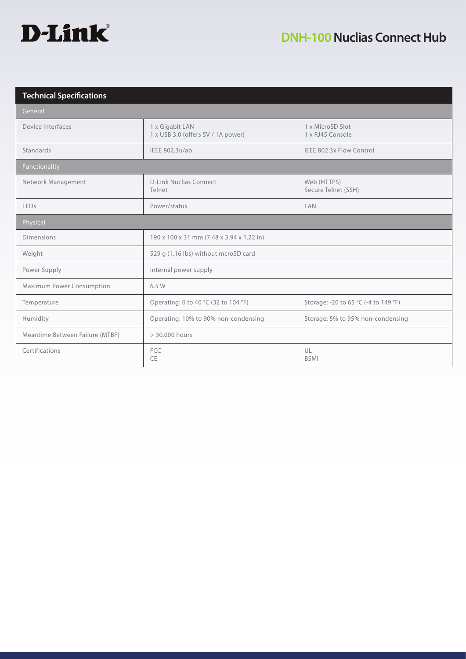

| <b>Technical Specifications</b> |                                                       |                                      |  |
|---------------------------------|-------------------------------------------------------|--------------------------------------|--|
| General                         |                                                       |                                      |  |
| Device Interfaces               | 1 x Gigabit LAN<br>1 x USB 3.0 (offers 5V / 1A power) | 1 x MicroSD Slot<br>1 x RJ45 Console |  |
| Standards                       | IEEE 802.3u/ab                                        | IEEE 802.3x Flow Control             |  |
| Functionality                   |                                                       |                                      |  |
| Network Management              | <b>D-Link Nuclias Connect</b><br>Telnet               | Web (HTTPS)<br>Secure Telnet (SSH)   |  |
| LEDs                            | Power/status                                          | LAN                                  |  |
| Physical                        |                                                       |                                      |  |
| <b>Dimensions</b>               | 190 x 100 x 31 mm (7.48 x 3.94 x 1.22 in)             |                                      |  |
| Weight                          | 529 g (1.16 lbs) without mcroSD card                  |                                      |  |
| Power Supply                    | Internal power supply                                 |                                      |  |
| Maximum Power Consumption       | 6.5 W                                                 |                                      |  |
| Temperature                     | Operating: 0 to 40 °C (32 to 104 °F)                  | Storage: -20 to 65 °C (-4 to 149 °F) |  |
| Humidity                        | Operating: 10% to 90% non-condensing                  | Storage: 5% to 95% non-condensing    |  |
| Meantime Between Failure (MTBF) | > 30,000 hours                                        |                                      |  |
| Certifications                  | <b>FCC</b><br>CE                                      | UL<br><b>BSMI</b>                    |  |